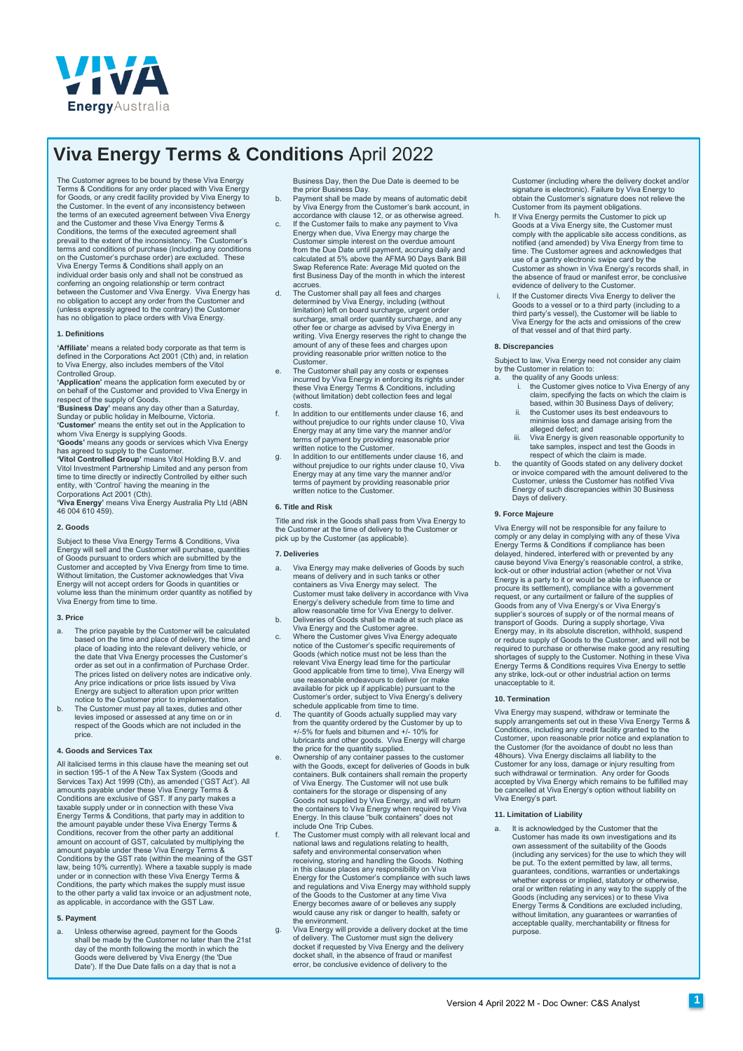

# **Viva Energy Terms & Conditions** April 2022

The Customer agrees to be bound by these Viva Energy Terms & Conditions for any order placed with Viva Energy<br>for Goods, or any credit facility provided by Viva Energy to<br>the Customer. In the event of any inconsistency between<br>the terms of an executed agreement between Viva and the Customer and these Viva Energy Terms & Conditions, the terms of the executed agreement shall prevail to the extent of the inconsistency. The Customer's terms and conditions of purchase (including any conditions on the Customer's purchase order) are excluded. These Viva Energy Terms & Conditions shall apply on an individual order basis only and shall not be construed as conferring an ongoing relationship or term contract between the Customer and Viva Energy. Viva Energy has no obligation to accept any order from the Customer and (unless expressly agreed to the contrary) the Customer has no obligation to place orders with Viva Energy.

## **1. Definitions**

**'Affiliate'** means a related body corporate as that term is defined in the Corporations Act 2001 (Cth) and, in relation to Viva Energy, also includes members of the Vitol

Controlled Group. **'Application'** means the application form executed by or on behalf of the Customer and provided to Viva Energy in respect of the supply of Goods.

**'Business Day'** means any day other than a Saturday, Sunday or public holiday in Melbourne, Victoria. **'Customer'** means the entity set out in the Application to whom Viva Energy is supplying Goods.

**'Goods'** means any goods or services which Viva Energy has agreed to supply to the Customer. **'Vitol Controlled Group'** means Vitol Holding B.V. and

Vitol Investment Partnership Limited and any person from time to time directly or indirectly Controlled by either such entity, with 'Control' having the meaning in the Corporations Act 2001 (Cth).

**'Viva Energy'** means Viva Energy Australia Pty Ltd (ABN 46 004 610 459).

## **2. Goods**

Subject to these Viva Energy Terms & Conditions, Viva Energy will sell and the Customer will purchase, quantities of Goods pursuant to orders which are submitted by the Customer and accepted by Viva Energy from time to time. Without limitation, the Customer acknowledges that Viva Energy will not accept orders for Goods in quantities or volume less than the minimum order quantity as notified by Viva Energy from time to time.

## **3. Price**

- a. The price payable by the Customer will be calculated based on the time and place of delivery, the time and place of loading into the relevant delivery vehicle, or the date that Viva Energy processes the Customer's order as set out in a confirmation of Purchase Order. The prices listed on delivery notes are indicative only. Any price indications or price lists issued by Viva Energy are subject to alteration upon prior written
- notice to the Customer prior to implementation. b. The Customer must pay all taxes, duties and other levies imposed or assessed at any time on or in respect of the Goods which are not included in the price.

## **4. Goods and Services Tax**

All italicised terms in this clause have the meaning set out in section 195-1 of the A New Tax System (Goods and<br>Services Tax) Act 1999 (Cth), as amended ('GST Act'). All<br>amounts payable under these Viva Energy Terms &<br>Conditions are exclusive of GST. If any party makes a<br>taxable su Energy Terms & Conditions, that party may in addition to the amount payable under these Viva Energy Terms & Conditions, recover from the other party an additional amount on account of GST, calculated by multiplying the amount payable under these Viva Energy Terms & Conditions by the GST rate (within the meaning of the GST law, being 10% currently). Where a taxable supply is made under or in connection with these Viva Energy Terms & Conditions, the party which makes the supply must issue to the other party a valid tax invoice or an adjustment note, as applicable, in accordance with the GST Law.

#### **5. Payment**

a. Unless otherwise agreed, payment for the Goods shall be made by the Customer no later than the 21st day of the month following the month in which the Goods were delivered by Viva Energy (the 'Due Date'). If the Due Date falls on a day that is not a

- Business Day, then the Due Date is deemed to be the prior Business Day. b. Payment shall be made by means of automatic debit by Viva Energy from the Customer's bank account, in
- accordance with clause 12, or as otherwise agreed. c. If the Customer fails to make any payment to Viva Energy when due, Viva Energy may charge the Customer simple interest on the overdue amount from the Due Date until payment, accruing daily and calculated at 5% above the AFMA 90 Days Bank Bill Swap Reference Rate: Average Mid quoted on the first Business Day of the month in which the interest accrues.
- d. The Customer shall pay all fees and charges determined by Viva Energy, including (without limitation) left on board surcharge, urgent order surcharge, small order quantity surcharge, and any other fee or charge as advised by Viva Energy in writing. Viva Energy reserves the right to change the amount of any of these fees and charges upon providing reasonable prior written notice to the<br>Customer.
- Customer. e. The Customer shall pay any costs or expenses incurred by Viva Energy in enforcing its rights under these Viva Energy Terms & Conditions, including (without limitation) debt collection fees and legal costs.
- In addition to our entitlements under clause 16, and without prejudice to our rights under clause 10, Viva Energy may at any time vary the manner and/or terms of payment by providing reasonable prior written notice to the Customer.
- g. In addition to our entitlements under clause 16, and without prejudice to our rights under clause 10, Viva Energy may at any time vary the manner and/or terms of payment by providing reasonable prior written notice to the Customer.

## **6. Title and Risk**

Title and risk in the Goods shall pass from Viva Energy to the Customer at the time of delivery to the Customer or pick up by the Customer (as applicable).

## **7. Deliveries**

- a. Viva Energy may make deliveries of Goods by such means of delivery and in such tanks or other containers as Viva Energy may select. The Customer must take delivery in accordance with Viva Energy's delivery schedule from time to time and
- allow reasonable time for Viva Energy to deliver.<br>Deliveries of Goods shall be made at such place as<br>Viva Energy and the Customer agree.<br>C. Where the Customer gives Viva Energy adequate<br>notice of the Customer's specific re
- Goods (which notice must not be less than the relevant Viva Energy lead time for the particular Good applicable from time to time), Viva Energy will use reasonable endeavours to deliver (or make available for pick up if applicable) pursuant to the Customer's order, subject to Viva Energy's delivery schedule applicable from time to time.
- The quantity of Goods actually supplied may vary from the quantity ordered by the Customer by up to +/-5% for fuels and bitumen and +/- 10% for lubricants and other goods. Viva Energy will charge the price for the quantity supplied. e. Ownership of any container passes to the customer
- with the Goods, except for deliveries of Goods in bulk containers. Bulk containers shall remain the property of Viva Energy. The Customer will not use bulk containers for the storage or dispensing of any Goods not supplied by Viva Energy, and will return the containers to Viva Energy when required by Viva Energy. In this clause "bulk containers" does not include One Trip Cubes.
- f. The Customer must comply with all relevant local and national laws and regulations relating to health, safety and environmental conservation when receiving, storing and handling the Goods. Nothing in this clause places any responsibility on Viva Energy for the Customer's compliance with such laws and regulations and Viva Energy may withhold supply of the Goods to the Customer at any time Viva Energy becomes aware of or believes any supply would cause any risk or danger to health, safety or the environment
- g. Viva Energy will provide a delivery docket at the time of delivery. The Customer must sign the delivery docket if requested by Viva Energy and the delivery docket shall, in the absence of fraud or manifest error, be conclusive evidence of delivery to the

Customer (including where the delivery docket and/or signature is electronic). Failure by Viva Energy to obtain the Customer's signature does not relieve the Customer from its payment obligations.

- h. If Viva Energy permits the Customer to pick up Goods at a Viva Energy site, the Customer must comply with the applicable site access conditions, as notified (and amended) by Viva Energy from time to time. The Customer agrees and acknowledges that use of a gantry electronic swipe card by the Customer as shown in Viva Energy's records shall, in the absence of fraud or manifest error, be conclusive evidence of delivery to the Customer.
- If the Customer directs Viva Energy to deliver the<br>Goods to a vessel or to a third party (including to a<br>third party's vessel), the Customer will be liable to<br>Viva Energy for the acts and omissions of the crew<br>of that vess i.

## **8. Discrepancies**

Subject to law, Viva Energy need not consider any claim by the Customer in relation to:

- the quality of any Goods unless: the Customer gives notice to Viva Energy of any claim, specifying the facts on which the claim is based, within 30 Business Days of delivery;
- ii. the Customer uses its best endeavours to minimise loss and damage arising from the
- alleged defect; and iii. Viva Energy is given reasonable opportunity to take samples, inspect and test the Goods in respect of which the claim is made.
- b. the quantity of Goods stated on any delivery docket or invoice compared with the amount delivered to the Customer, unless the Customer has notified Viva Energy of such discrepancies within 30 Business Days of delivery.

## **9. Force Majeure**

Viva Energy will not be responsible for any failure to comply or any delay in complying with any of these Viva Energy Terms & Conditions if compliance has been delayed, hindered, interfered with or prevented by any cause beyond Viva Energy's reasonable control, a strike, lock-out or other industrial action (whether or not Viva Energy is a party to it or would be able to influence or procure its settlement), compliance with a government request, or any curtailment or failure of the supplies of<br>Goods from any of Viva Energy's or Viva Energy's<br>supplier's sources of supply or of the normal means of<br>transport of Goods. During a supply shortage, Viva<br>Energy ma or reduce supply of Goods to the Customer, and will not be required to purchase or otherwise make good any resulting shortages of supply to the Customer. Nothing in these Viva Energy Terms & Conditions requires Viva Energy to settle any strike, lock-out or other industrial action on terms unacceptable to it.

## **10. Termination**

Viva Energy may suspend, withdraw or terminate the<br>supply arrangements set out in these Viva Energy Terms &<br>Conditions, including any credit facility granted to the<br>Customer, upon reasonable prior notice and explanation to 48hours). Viva Energy disclaims all liability to the Customer for any loss, damage or injury resulting from such withdrawal or termination. Any order for Goods accepted by Viva Energy which remains to be fulfilled may be cancelled at Viva Energy's option without liability on Viva Energy's part.

## **11. Limitation of Liability**

a. It is acknowledged by the Customer that the Customer has made its own investigations and its own assessment of the suitability of the Goods (including any services) for the use to which they will be put. To the extent permitted by law, all terms, guarantees, conditions, warranties or undertakings whether express or implied, statutory or otherwise, oral or written relating in any way to the supply of the Goods (including any services) or to these Viva Energy Terms & Conditions are excluded including, without limitation, any guarantees or warranties of acceptable quality, merchantability or fitness for purpose.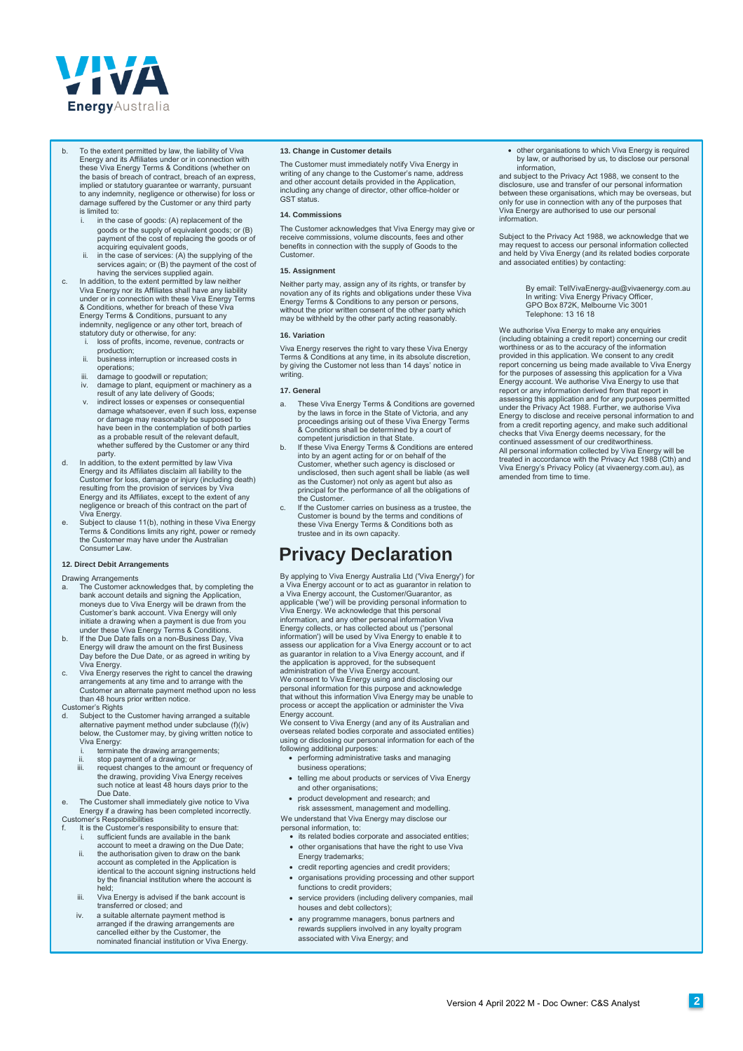

- To the extent permitted by law, the liability of Viva Energy and its Affiliates under or in connection with these Viva Energy Terms & Conditions (whether on the basis of breach of contract, breach of an express, implied or statutory guarantee or warranty, pursuant to any indemnity, negligence or otherwise) for loss or damage suffered by the Customer or any third party is limited to:
	- goods or the supply of equivalent goods; or (B) payment of the cost of replacing the goods or of in the case of goods: (A) replacement of the
	- acquiring equivalent goods, ii. in the case of services: (A) the supplying of the services again; or (B) the payment of the cost of having the services supplied again.
- c. In addition, to the extent permitted by law neither Viva Energy nor its Affiliates shall have any liability under or in connection with these Viva Energy Terms & Conditions, whether for breach of these Viva Energy Terms & Conditions, pursuant to any indemnity, negligence or any other tort, breach of statutory duty or otherwise, for any:
	- i. loss of profits, income, revenue, contracts or production;
	- ii. business interruption or increased costs in operations;
	- iii. damage to goodwill or reputation; iv. damage to plant, equipment or machinery as a result of any late delivery of Goods;
	- v. indirect losses or expenses or consequential damage whatsoever, even if such loss, expense or damage may reasonably be supposed to have been in the contemplation of both parties as a probable result of the relevant default whether suffered by the Customer or any third
- party. d. In addition, to the extent permitted by law Viva Energy and its Affiliates disclaim all liability to the Customer for loss, damage or injury (including death) resulting from the provision of services by Viva Energy and its Affiliates, except to the extent of any negligence or breach of this contract on the part of
- Viva Energy. e. Subject to clause 11(b), nothing in these Viva Energy Terms & Conditions limits any right, power or remedy the Customer may have under the Australian Consumer Law

## **12. Direct Debit Arrangements**

Drawing Arrangements<br>a The Customer ad

- a. The Customer acknowledges that, by completing the bank account details and signing the Application, moneys due to Viva Energy will be drawn from the Customer's bank account. Viva Energy will only initiate a drawing when a payment is due from you under these Viva Energy Terms & Conditions. b. If the Due Date falls on a non-Business Day, Viva
- Energy will draw the amount on the first Business Day before the Due Date, or as agreed in writing by Viva Energy.
- c. Viva Energy reserves the right to cancel the drawing arrangements at any time and to arrange with the Customer an alternate payment method upon no less than 48 hours prior written notice.
- Customer's Rights d. Subject to the Customer having arranged a suitable alternative payment method under subclause (f)(iv) below, the Customer may, by giving written notice to
	- Viva Energy: i. terminate the drawing arrangements;
	- ii. stop payment of a drawing; or iii. request changes to the amount or frequency of the drawing, providing Viva Energy receives such notice at least 48 hours days prior to the Due Date.
- e. The Customer shall immediately give notice to Viva Energy if a drawing has been completed incorrectly.
- Customer's Responsibilities
- f. It is the Customer's responsibility to ensure that: i. sufficient funds are available in the bank account to meet a drawing on the Due Date; ii. the authorisation given to draw on the bank account as completed in the Application is identical to the account signing instructions held by the financial institution where the account is
	- held; iii. Viva Energy is advised if the bank account is
	- transferred or closed; and iv. a suitable alternate payment method is
	- arranged if the drawing arrangements are cancelled either by the Customer, the nominated financial institution or Viva Energy.

## **13. Change in Customer details**

The Customer must immediately notify Viva Energy in writing of any change to the Customer's name, address and other account details provided in the Application, including any change of director, other office-holder or GST status

#### **14. Commissions**

The Customer acknowledges that Viva Energy may give or receive commissions, volume discounts, fees and other benefits in connection with the supply of Goods to the Customer.

## **15. Assignment**

Neither party may, assign any of its rights, or transfer by novation any of its rights and obligations under these Viva Energy Terms & Conditions to any person or persons, without the prior written consent of the other party which may be withheld by the other party acting reasonably.

### **16. Variation**

Viva Energy reserves the right to vary these Viva Energy Terms & Conditions at any time, in its absolute discretion, by giving the Customer not less than 14 days' notice in writing.

#### **17. General**

- a. These Viva Energy Terms & Conditions are governed<br>by the laws in force in the State of Victoria, and any<br>proceedings arising out of these Viva Energy Terms<br>& Conditions shall be determined by a court of<br>competent jurisd
- b. If these Viva Energy Terms & Conditions are entered into by an agent acting for or on behalf of the Customer, whether such agency is disclosed or undisclosed, then such agent shall be liable (as well as the Customer) not only as agent but also as principal for the performance of all the obligations of the Customer.
- c. If the Customer carries on business as a trustee, the Customer is bound by the terms and conditions of these Viva Energy Terms & Conditions both as trustee and in its own capacity.

## **Privacy Declaration**

By applying to Viva Energy Australia Ltd ('Viva Energy') for<br>a Viva Energy account or to act as guarantor in relation to<br>a Viva Energy account, the Customer/Guarantor, as<br>applicable ('we') will be providing personal inform Viva Energy. We acknowledge that this personal information, and any other personal information Viva Energy collects, or has collected about us ('personal information') will be used by Viva Energy to enable it to assess our application for a Viva Energy account or to act as guarantor in relation to a Viva Energy account, and if the application is approved, for the subsequent administration of the Viva Energy account. We consent to Viva Energy using and disclosing our

personal information for this purpose and acknowledge that without this information Viva Energy may be unable to process or accept the application or administer the Viva

Energy account. We consent to Viva Energy (and any of its Australian and overseas related bodies corporate and associated entities) using or disclosing our personal information for each of the following additional purposes: wing additional purposes:

- performing administrative tasks and managing
- business operations; • telling me about products or services of Viva Energy
- and other organisations;
- product development and research; and

risk assessment, management and modelling.

We understand that Viva Energy may disclose or personal information, to:

- its related bodies corporate and associated entities;
- other organisations that have the right to use Viva Energy trademarks;
- credit reporting agencies and credit providers;
- organisations providing processing and other support functions to credit providers;
- service providers (including delivery companies, mail houses and debt collectors);
- any programme managers, bonus partners and rewards suppliers involved in any loyalty program associated with Viva Energy; and

 other organisations to which Viva Energy is required by law, or authorised by us, to disclose our personal information,

and subject to the Privacy Act 1988, we consent to the disclosure, use and transfer of our personal information between these organisations, which may be overseas, but only for use in connection with any of the purposes that Viva Energy are authorised to use our personal information.

Subject to the Privacy Act 1988, we acknowledge that we may request to access our personal information collected and held by Viva Energy (and its related bodies corporate and associated entities) by contacting:

> By email: TellVivaEnergy-au@vivaenergy.com.au In writing: Viva Energy Privacy Officer, GPO Box 872K, Melbourne Vic 3001 Telephone: 13 16 18

We authorise Viva Energy to make any enquiries (including obtaining a credit report) concerning our credit worthiness or as to the accuracy of the information provided in this application. We consent to any credit report concernin[g us being made available to Viva Energy](mailto:TellVivaEnergy-au@vivaenergy.com.au)  for the purposes of assessing this application for a Viva Energy account. We authorise Viva Energy to use that report or any information derived from that report in assessing this application and for any purposes permitted under the Privacy Act 1988. Further, we authorise Viva Energy to disclose and receive personal information to and from a credit reporting agency, and make such additional checks that Viva Energy deems necessary, for the continued assessment of our creditworthiness. All personal information collected by Viva Energy will be treated in accordance with the Privacy Act 1988 (Cth) and Viva Energy's Privacy Policy (at vivaenergy.com.au), as amended from time to time.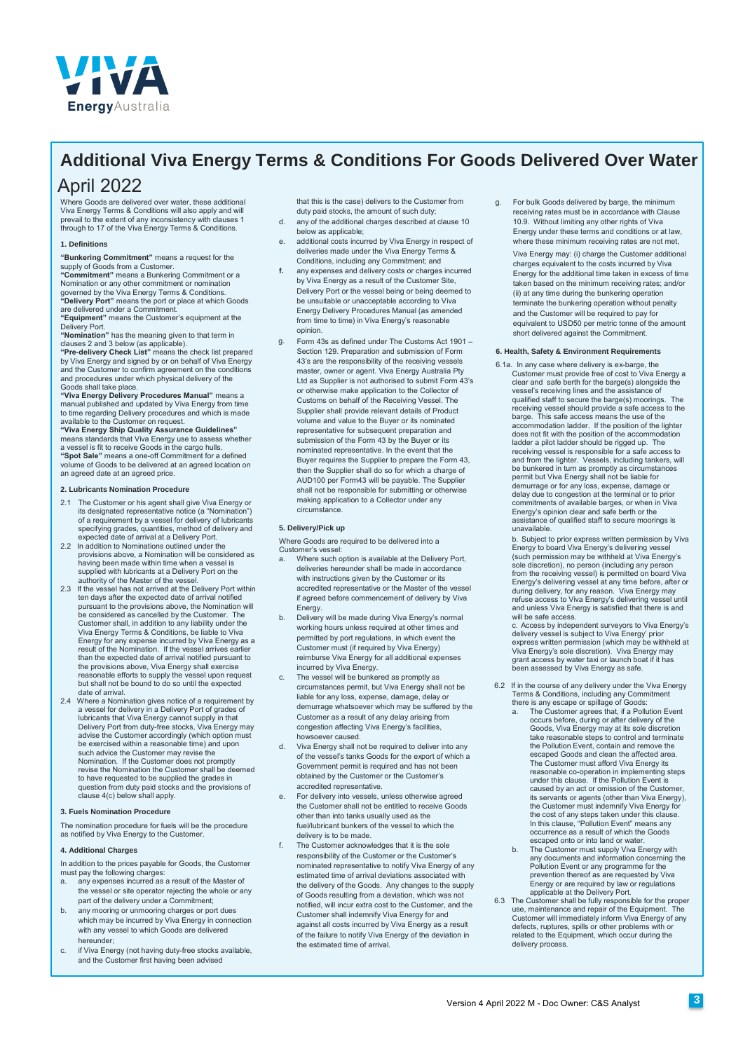

## **Additional Viva Energy Terms & Conditions For Goods Delivered Over Water**

## April 2022

Where Goods are delivered over water, these additional Viva Energy Terms & Conditions will also apply and will prevail to the extent of any inconsistency with clauses 1 through to 17 of the Viva Energy Terms & Conditions.

## **1. Definitions**

**"Bunkering Commitment"** means a request for the supply of Goods from a Customer.

**"Commitment"** means a Bunkering Commitment or a<br>Nomination or any other commitment or nomination<br>governed by the Viva Energy Terms & Conditions.<br>**"Delivery Port"** means the port or place at which Goods

are delivered under a Commitment.

**"Equipment"** means the Customer's equipment at the Delivery Port.

**"Nomination"** has the meaning given to that term in clauses 2 and 3 below (as applicable).

**"Pre-delivery Check List**" means the check list prepared<br>by Viva Energy and signed by or on behalf of Viva Energy<br>and the Customer to confirm agreement on the conditions<br>and procedures under which physical delivery of the

Goods shall take place.<br>**"Viva Energy Delivery Procedures Manual**" means a<br>manual published and updated by Viva Energy from time<br>to time regarding Delivery procedures and which is made available to the Customer on request.

## **"Viva Energy Ship Quality Assurance Guidelines"**

means standards that Viva Energy use to assess whether a vessel is fit to receive Goods in the cargo hulls. **"Spot Sale"** means a one-off Commitment for a defined volume of Goods to be delivered at an agreed location on an agreed date at an agreed price.

## **2. Lubricants Nomination Procedure**

- 2.1 The Customer or his agent shall give Viva Energy or its designated representative notice (a "Nomination") of a requirement by a vessel for delivery of lubricants specifying grades, quantities, method of delivery and expected date of arrival at a Delivery Port.
- 2.2 In addition to Nominations outlined under the provisions above, a Nomination will be considered as having been made within time when a vessel is supplied with lubricants at a Delivery Port on the
- authority of the Master of the vessel. 2.3 If the vessel has not arrived at the Delivery Port within ten days after the expected date of arrival notified pursuant to the provisions above, the Nomination will be considered as cancelled by the Customer. The Customer shall, in addition to any liability under the Viva Energy Terms & Conditions, be liable to Viva Energy for any expense incurred by Viva Energy as a result of the Nomination. If the vessel arrives earlier than the expected date of arrival notified pursuant to the provisions above, Viva Energy shall exercise reasonable efforts to supply the vessel upon request but shall not be bound to do so until the expected date of arrival.
- 2.4 Where a Nomination gives notice of a requirement by a vessel for delivery in a Delivery Port of grades of lubricants that Viva Energy cannot supply in that Delivery Port from duty-free stocks, Viva Energy may advise the Customer accordingly (which option must be exercised within a reasonable time) and upon such advice the Customer may revise the Nomination. If the Customer does not promptly revise the Nomination the Customer shall be deemed to have requested to be supplied the grades in question from duty paid stocks and the provisions of clause 4(c) below shall apply.

## **3. Fuels Nomination Procedure**

The nomination procedure for fuels will be the procedure as notified by Viva Energy to the Customer.

## **4. Additional Charges**

In addition to the prices payable for Goods, the Customer must pay the following charges:

- a. any expenses incurred as a result of the Master of the vessel or site operator rejecting the whole or any part of the delivery under a Commitment;
- b. any mooring or unmooring charges or port dues which may be incurred by Viva Energy in connection with any vessel to which Goods are delivered hereunder;
- c. if Viva Energy (not having duty-free stocks available, and the Customer first having been advised

that this is the case) delivers to the Customer from duty paid stocks, the amount of such duty;

- d. any of the additional charges described at clause 10 below as applicable;
- additional costs incurred by Viva Energy in respect of deliveries made under the Viva Energy Terms & Conditions, including any Commitment; and
- **f.** any expenses and delivery costs or charges incurred by Viva Energy as a result of the Customer Site, Delivery Port or the vessel being or being deemed to be unsuitable or unacceptable according to Viva Energy Delivery Procedures Manual (as amended from time to time) in Viva Energy's reasonable opinion.
- g. Form 43s as defined under The Customs Act 1901 Section 129. Preparation and submission of Form 43's are the responsibility of the receiving vessels master, owner or agent. Viva Energy Australia Pty Ltd as Supplier is not authorised to submit Form 43's or otherwise make application to the Collector of Customs on behalf of the Receiving Vessel. The Supplier shall provide relevant details of Product volume and value to the Buyer or its nominated representative for subsequent preparation and submission of the Form 43 by the Buyer or its nominated representative. In the event that the Buyer requires the Supplier to prepare the Form 43, then the Supplier shall do so for which a charge of AUD100 per Form43 will be payable. The Supplier shall not be responsible for submitting or otherwise making application to a Collector under any circumstance.

## **5. Delivery/Pick up**

Where Goods are required to be delivered into a Customer's vessel:

- a. Where such option is available at the Delivery Port, deliveries hereunder shall be made in accordance with instructions given by the Customer or its accredited representative or the Master of the vessel if agreed before commencement of delivery by Viva Energy.
- b. Delivery will be made during Viva Energy's normal working hours unless required at other times and permitted by port regulations, in which event the Customer must (if required by Viva Energy) reimburse Viva Energy for all additional expenses incurred by Viva Energy.
- The vessel will be bunkered as promptly as circumstances permit, but Viva Energy shall not be liable for any loss, expense, damage, delay or demurrage whatsoever which may be suffered by the Customer as a result of any delay arising from congestion affecting Viva Energy's facilities, howsoever caused.
- d. Viva Energy shall not be required to deliver into any of the vessel's tanks Goods for the export of which a Government permit is required and has not been obtained by the Customer or the Customer's accredited representative.
- e. For delivery into vessels, unless otherwise agreed the Customer shall not be entitled to receive Goods other than into tanks usually used as the fuel/lubricant bunkers of the vessel to which the delivery is to be made.
- The Customer acknowledges that it is the sole responsibility of the Customer or the Customer's nominated representative to notify Viva Energy of any estimated time of arrival deviations associated with the delivery of the Goods. Any changes to the supply of Goods resulting from a deviation, which was not notified, will incur extra cost to the Customer, and the Customer shall indemnify Viva Energy for and against all costs incurred by Viva Energy as a result of the failure to notify Viva Energy of the deviation in the estimated time of arrival.

g. For bulk Goods delivered by barge, the minimum receiving rates must be in accordance with Clause 10.9. Without limiting any other rights of Viva Energy under these terms and conditions or at law, where these minimum receiving rates are not met, Viva Energy may: (i) charge the Customer additional charges equivalent to the costs incurred by Viva Energy for the additional time taken in excess of time taken based on the minimum receiving rates; and/or (ii) at any time during the bunkering operation terminate the bunkering operation without penalty and the Customer will be required to pay for equivalent to USD50 per metric tonne of the amount short delivered against the Commitment.

## **6. Health, Safety & Environment Requirements**

6.1a. In any case where delivery is ex-barge, the Customer must provide free of cost to Viva Energy a clear and safe berth for the barge(s) alongside the vessel's receiving lines and the assistance of qualified staff to secure the barge(s) moorings. The receiving vessel should provide a safe access to the barge. This safe access means the use of the accommodation ladder. If the position of the lighter does not fit with the position of the accommodation ladder a pilot ladder should be rigged up. The receiving vessel is responsible for a safe access to and from the lighter. Vessels, including tankers, will be bunkered in turn as promptly as circumstances permit but Viva Energy shall not be liable for demurrage or for any loss, expense, damage or delay due to congestion at the terminal or to prior commitments of available barges, or when in Viva Energy's opinion clear and safe berth or the assistance of qualified staff to secure moorings is unavailable.

b. Subject to prior express written permission by Viva Energy to board Viva Energy's delivering vessel (such permission may be withheld at Viva Energy's sole discretion), no person (including any person from the receiving vessel) is permitted on board Viva Energy's delivering vessel at any time before, after or during delivery, for any reason. Viva Energy may refuse access to Viva Energy's delivering vessel until and unless Viva Energy is satisfied that there is and will be safe access.

c. Access by independent surveyors to Viva Energy's delivery vessel is subject to Viva Energy' prior express written permission (which may be withheld at Viva Energy's sole discretion). Viva Energy may grant access by water taxi or launch boat if it has been assessed by Viva Energy as safe.

- 6.2 If in the course of any delivery under the Viva Energy Terms & Conditions, including any Commitment there is any escape or spillage of Goods: a. The Customer agrees that, if a Pollution Event
	- occurs before, during or after delivery of the Goods, Viva Energy may at its sole discretion take reasonable steps to control and terminate the Pollution Event, contain and remove the escaped Goods and clean the affected area. The Customer must afford Viva Energy its reasonable co-operation in implementing steps under this clause. If the Pollution Event is caused by an act or omission of the Customer, its servants or agents (other than Viva Energy), the Customer must indemnify Viva Energy for the cost of any steps taken under this clause. In this clause, "Pollution Event" means any occurrence as a result of which the Goods escaped onto or into land or water
	- b. The Customer must supply Viva Energy with any documents and information concerning the Pollution Event or any programme for the prevention thereof as are requested by Viva Energy or are required by law or regulations
- applicable at the Delivery Port. 6.3 The Customer shall be fully responsible for the proper use, maintenance and repair of the Equipment. The Customer will immediately inform Viva Energy of any defects, ruptures, spills or other problems with or related to the Equipment, which occur during the delivery process.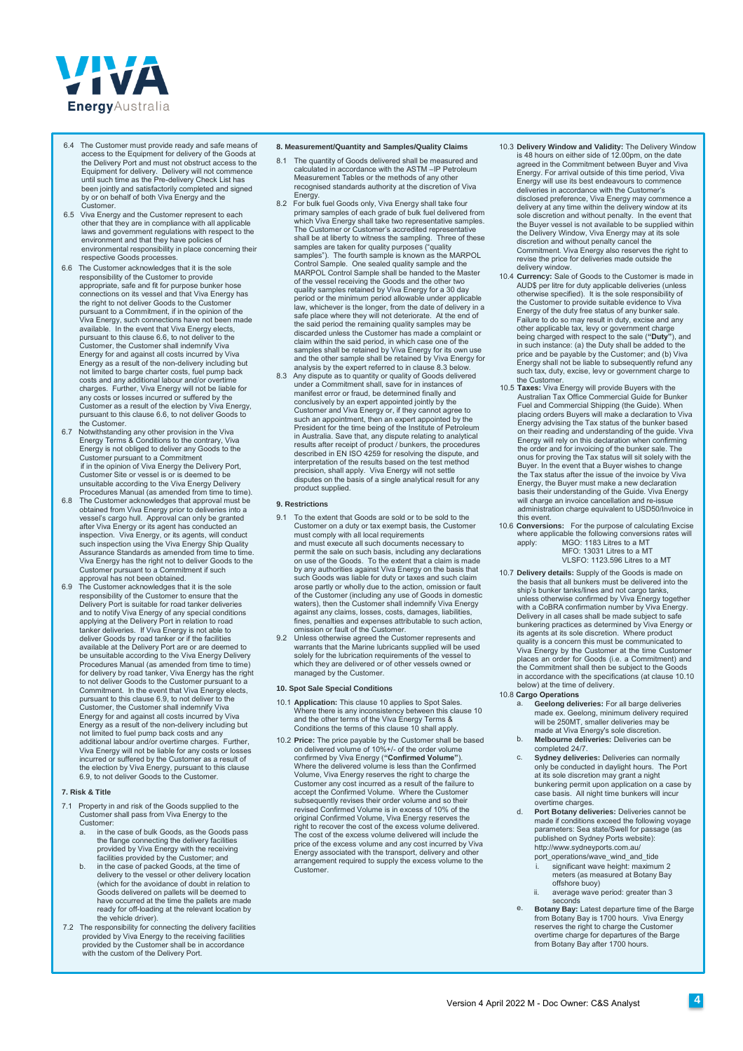

- 6.4 The Customer must provide ready and safe means of access to the Equipment for delivery of the Goods at the Delivery Port and must not obstruct access to the Equipment for delivery. Delivery will not commence until such time as the Pre-delivery Check List has been jointly and satisfactorily completed and signed by or on behalf of both Viva Energy and the Customer.
- 6.5 Viva Energy and the Customer represent to each other that they are in compliance with all applicable laws and government regulations with respect to the environment and that they have policies of environmental responsibility in place concerning their respective Goods processes.
- 6.6 The Customer acknowledges that it is the sole responsibility of the Customer to provide appropriate, safe and fit for purpose bunker hose connections on its vessel and that Viva Energy has the right to not deliver Goods to the Customer pursuant to a Commitment, if in the opinion of the Viva Energy, such connections have not been made available. In the event that Viva Energy elects, pursuant to this clause 6.6, to not deliver to the Customer, the Customer shall indemnify Viva Energy for and against all costs incurred by Viva Energy as a result of the non-delivery including but not limited to barge charter costs, fuel pump back costs and any additional labour and/or overtime charges. Further, Viva Energy will not be liable for any costs or losses incurred or suffered by the Customer as a result of the election by Viva Energy, pursuant to this clause 6.6, to not deliver Goods to the Customer. 6.7 Notwithstanding any other provision in the Viva
- Energy Terms & Conditions to the contrary, Viva Energy is not obliged to deliver any Goods to the Customer pursuant to a Commitment if in the opinion of Viva Energy the Delivery Port, Customer Site or vessel is or is deemed to be unsuitable according to the Viva Energy Delivery
- Procedures Manual (as amended from time to time). 6.8 The Customer acknowledges that approval must be obtained from Viva Energy prior to deliveries into a vessel's cargo hull. Approval can only be granted after Viva Energy or its agent has conducted an inspection. Viva Energy, or its agents, will conduct such inspection using the Viva Energy Ship Quality Assurance Standards as amended from time to time. Viva Energy has the right not to deliver Goods to the Customer pursuant to a Commitment if such approval has not been obtained.
- 6.9 The Customer acknowledges that it is the sole responsibility of the Customer to ensure that the Delivery Port is suitable for road tanker deliveries<br>and to notify Viva Energy of any special conditions<br>applying at the Delivery Port in relation to road<br>tanker deliveries. If Viva Energy is not able to<br>deliver Goods by r available at the Delivery Port are or are deemed to be unsuitable according to the Viva Energy Delivery Procedures Manual (as amended from time to time) for delivery by road tanker, Viva Energy has the right to not deliver Goods to the Customer pursuant to a Commitment. In the event that Viva Energy elects, pursuant to this clause 6.9, to not deliver to the Customer, the Customer shall indemnify Viva Energy for and against all costs incurred by Viva<br>Energy as a result of the non-delivery including but Energy as a result of the non-delivery including but not limited to fuel pump back costs and any additional labour and/or overtime charges. Further, Additional labour and/or overtime charges. Further,<br>Viva Energy will not be liable for any costs or losses incurred or suffered by the Customer as a result of the election by Viva Energy, pursuant to this clause 6.9, to not deliver Goods to the Customer.

## **7. Risk & Title**

- 7.1 Property in and risk of the Goods supplied to the Customer shall pass from Viva Energy to the Customer:
	- a. in the case of bulk Goods, as the Goods pass the flange connecting the delivery facilities provided by Viva Energy with the receiving facilities provided by the Customer; and
	- b. in the case of packed Goods, at the time of delivery to the vessel or other delivery location (which for the avoidance of doubt in relation to Goods delivered on pallets will be deemed to have occurred at the time the pallets are made ready for off-loading at the relevant location by the vehicle driver).
- 7.2 The responsibility for connecting the delivery facilities provided by Viva Energy to the receiving facilities provided by the Customer shall be in accordance with the custom of the Delivery Port.

## **8. Measurement/Quantity and Samples/Quality Claims**

- 8.1 The quantity of Goods delivered shall be measured and calculated in accordance with the ASTM –IP Petroleum Measurement Tables or the methods of any other recognised standards authority at the discretion of Viva Energy.<br>8.2 For bulk fuel Goods only, Viva Energy shall take four
- 8.2 For bulk fuel Goods only, Viva Energy shall take four<br>primary samples of each grade of bulk fuel delivered from<br>which Viva Energy shall take two representative samples.<br>The Customer or Customer's accredited representat samples are taken for quality purposes ("quality samples"). The fourth sample is known as the MARPOL Control Sample. One sealed quality sample and the MARPOL Control Sample shall be handed to the Master of the vessel receiving the Goods and the other two quality samples retained by Viva Energy for a 30 day period or the minimum period allowable under applicable law, whichever is the longer, from the date of delivery in a safe place where they will not deteriorate. At the end of the said period the remaining quality samples may be discarded unless the Customer has made a complaint or claim within the said period, in which case one of the samples shall be retained by Viva Energy for its own use and the other sample shall be retained by Viva Energy for analysis by the expert referred to in clause 8.3 below.
- 8.3 Any dispute as to quantity or quality of Goods delivered under a Commitment shall, save for in instances of manifest error or fraud, be determined finally and conclusively by an expert appointed jointly by the Customer and Viva Energy or, if they cannot agree to such an appointment, then an expert appointed by the President for the time being of the Institute of Petroleum in Australia. Save that, any dispute relating to analytical results after receipt of product / bunkers, the procedures described in EN ISO 4259 for resolving the dispute, and interpretation of the results based on the test method precision, shall apply. Viva Energy will not settle disputes on the basis of a single analytical result for any product supplied.

## **9. Restrictions**

- 9.1 To the extent that Goods are sold or to be sold to the Customer on a duty or tax exempt basis, the Customer must comply with all local requirements and must execute all such documents necessary to permit the sale on such basis, including any declarations on use of the Goods. To the extent that a claim is made by any authorities against Viva Energy on the basis that such Goods was liable for duty or taxes and such claim arose partly or wholly due to the action, omission or fault of the Customer (including any use of Goods in domestic waters), then the Customer shall indemnify Viva Energy against any claims, losses, costs, damages, liabilities fines, penalties and expenses attributable to such action,
- omission or fault of the Customer. 9.2 Unless otherwise agreed the Customer represents and warrants that the Marine lubricants supplied will be used solely for the lubrication requirements of the vessel to which they are delivered or of other vessels owned or managed by the Customer.

## **10. Spot Sale Special Conditions**

- 10.1 **Application:** This clause 10 applies to Spot Sales. Where there is any inconsistency between this clause 10 and the other terms of the Viva Energy Terms & Conditions the terms of this clause 10 shall apply.
- 10.2 **Price:** The price payable by the Customer shall be based on delivered volume of 10%+/- of the order volume confirmed by Viva Energy (**"Confirmed Volume"**). Where the delivered volume is less than the Confirmed<br>Volume, Viva Energy reserves the right to charge the<br>Customer any cost incurred as a result of the failure to<br>accept the Confirmed Volume. Where the Customer subsequently revises their order volume and so their revised Confirmed Volume is in excess of 10% of the original Confirmed Volume, Viva Energy reserves the right to recover the cost of the excess volume delivered. The cost of the excess volume delivered will include the price of the excess volume and any cost incurred by Viva Energy associated with the transport, delivery and other arrangement required to supply the excess volume to the Customer.
- 10.3 **Delivery Window and Validity:** The Delivery Window is 48 hours on either side of 12.00pm, on the date agreed in the Commitment between Buyer and Viva Energy. For arrival outside of this time period, Viva Energy will use its best endeavours to commence deliveries in accordance with the Customer's disclosed preference, Viva Energy may commence a delivery at any time within the delivery window at its sole discretion and without penalty. In the event that the Buyer vessel is not available to be supplied within the Delivery Window, Viva Energy may at its sole discretion and without penalty cancel the Commitment. Viva Energy also reserves the right to revise the price for deliveries made outside the delivery window.
- 10.4 **Currency:** Sale of Goods to the Customer is made in AUD\$ per litre for duty applicable deliveries (unless otherwise specified). It is the sole responsibility of the Customer to provide suitable evidence to Viva Energy of the duty free status of any bunker sale. Failure to do so may result in duty, excise and any other applicable tax, levy or government charge being charged with respect to the sale (**"Duty"**), and in such instance: (a) the Duty shall be added to the price and be payable by the Customer; and (b) Viva Energy shall not be liable to subsequently refund any such tax, duty, excise, levy or government charge to the Customer.
- 10.5 **Taxes:** Viva Energy will provide Buyers with the Australian Tax Office Commercial Guide for Bunker Fuel and Commercial Shipping (the Guide). When placing orders Buyers will make a declaration to Viva Energy advising the Tax status of the bunker based on their reading and understanding of the guide. Viva Energy will rely on this declaration when confirming the order and for invoicing of the bunker sale. The onus for proving the Tax status will sit solely with the Buyer. In the event that a Buyer wishes to change the Tax status after the issue of the invoice by Viva Energy, the Buyer must make a new declaration basis their understanding of the Guide. Viva Energy will charge an invoice cancellation and re-issue administration charge equivalent to USD50/Invoice in this event.
- 10.6 **Conversions:** For the purpose of calculating Excise where applicable the following conversions rates will apply: MGO: 1183 Litres to a MT MFO: 13031 Litres to a MT VLSFO: 1123.596 Litres to a MT
- 10.7 **Delivery details:** Supply of the Goods is made on the basis that all bunkers must be delivered into the ship's bunker tanks/lines and not cargo tanks, unless otherwise confirmed by Viva Energy together with a CoBRA confirmation number by Viva Energy. Delivery in all cases shall be made subject to safe bunkering practices as determined by Viva Energy or its agents at its sole discretion. Where product quality is a concern this must be communicated to Viva Energy by the Customer at the time Customer places an order for Goods (i.e. a Commitment) and the Commitment shall then be subject to the Goods in accordance with the specifications (at clause 10.10 below) at the time of delivery.
- 10.8 **[Cargo Operations](http://www.sydneyports.com.au/port_opertaions/wave_wind_and_tide)**
	- a. **[Geelong deliveries:](http://www.sydneyports.com.au/port_opertaions/wave_wind_and_tide)** For all barge deliveries made ex. Geelong, minimum delivery required will be 250MT, smaller deliveries may be
	- b. made at Viva Energy's sole discretion. **Melbourne deliveries:** Deliveries can be completed 24/7.
	- c. **Sydney deliveries:** Deliveries can normally only be conducted in daylight hours. The Port at its sole discretion may grant a night bunkering permit upon application on a case by case basis. All night time bunkers will incur overtime charges.
	- d. **Port Botany deliveries:** Deliveries cannot be made if conditions exceed the following voyage parameters: Sea state/Swell for passage (as published on Sydney Ports website): http://www.sydneyports.com.au/
		- port\_operations/wave\_wind\_and\_tide significant wave height: maximum 2 meters (as measured at Botany Bay offshore buoy)
		- ii. average wave period: greater than 3 seconds
	- e. **Botany Bay:** Latest departure time of the Barge from Botany Bay is 1700 hours. Viva Energy reserves the right to charge the Customer overtime charge for departures of the Barge from Botany Bay after 1700 hours.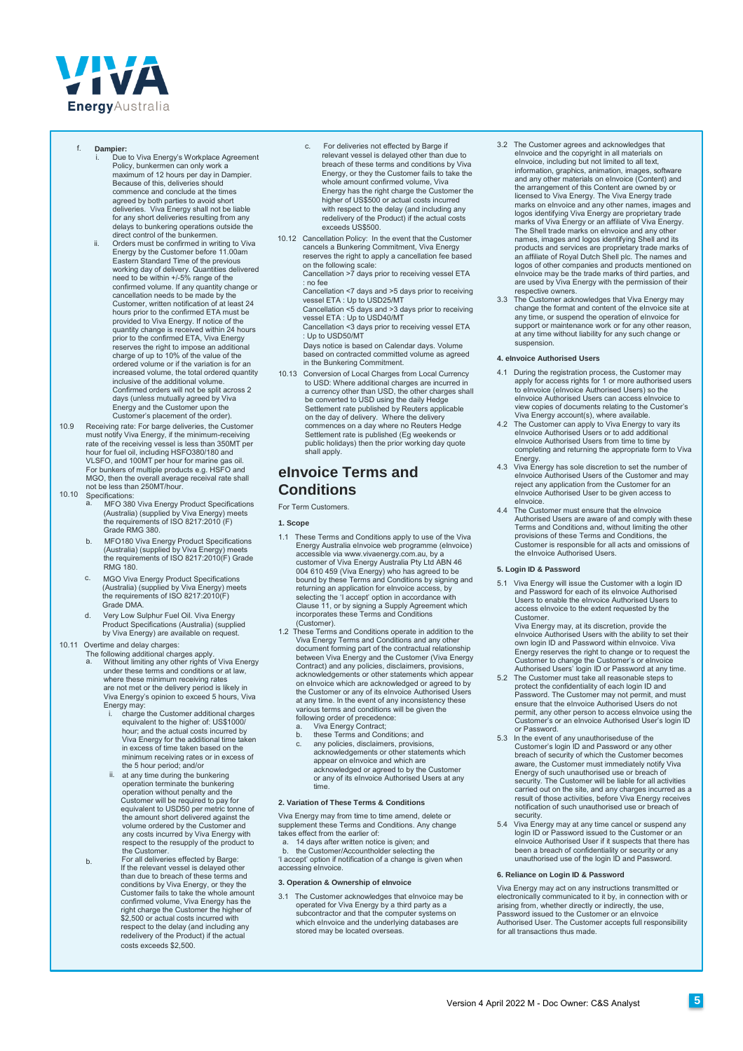

- f. **Dampier:**
	- Due to Viva Energy's Workplace Agreement Policy, bunkermen can only work a maximum of 12 hours per day in Dampier. Because of this, deliveries should commence and conclude at the times agreed by both parties to avoid short<br>deliveries. Viva Energy shall not be liable for any short deliveries resulting from any delays to bunkering operations outside the direct control of the bunkermen.
	- ii. Orders must be confirmed in writing to Viva Energy by the Customer before 11.00am Eastern Standard Time of the previous<br>working day of delivery. Quantities delivered<br>need to be within +/-5% range of the<br>confirmed volume. If any quantity change or<br>cancellation needs to be made by the Customer, written notification of at least 24 hours prior to the confirmed ETA must be provided to Viva Energy. If notice of the quantity change is received within 24 hours prior to the confirmed ETA, Viva Energy reserves the right to impose an additional charge of up to 10% of the value of the ordered volume or if the variation is for an increased volume, the total ordered quantity inclusive of the additional volume. Confirmed orders will not be split across 2 days (unless mutually agreed by Viva Energy and the Customer upon the Customer's placement of the order).
- 10.9 Receiving rate: For barge deliveries, the Customer must notify Viva Energy, if the minimum-receiving rate of the receiving vessel is less than 350MT per hour for fuel oil, including HSFO380/180 and VLSFO, and 100MT per hour for marine gas oil. For bunkers of multiple products e.g. HSFO and MGO, then the overall average receival rate shall not be less than 250MT/hour.
- 10.10 Specifications:
	- MFO 380 Viva Energy Product Specifications (Australia) (supplied by Viva Energy) meets the requirements of ISO 8217:2010 (F) Grade RMG 380.
	- b. MFO180 Viva Energy Product Specifications (Australia) (supplied by Viva Energy) meets the requirements of ISO 8217:2010(F) Grade RMG 180.
	- c. MGO Viva Energy Product Specifications (Australia) (supplied by Viva Energy) meets the requirements of ISO 8217:2010(F) Grade DMA.
	- d. Very Low Sulphur Fuel Oil. Viva Energy Product Specifications (Australia) (supplied by Viva Energy) are available on request.

## 10.11 Overtime and delay charges:

- The following additional charges apply. a. Without limiting any other rights of Viva Energy under these terms and conditions or at law, where these minimum receiving rates are not met or the delivery period is likely in Viva Energy's opinion to exceed 5 hours, Viva Energy may:
	- i. charge the Customer additional charges equivalent to the higher of: US\$1000/ hour; and the actual costs incurred by Viva Energy for the additional time taken in excess of time taken based on the minimum receiving rates or in excess of
	- the 5 hour period; and/or at any time during the bunkering ii. operation terminate the bunkering operation without penalty and the Customer will be required to pay for equivalent to USD50 per metric tonne of the amount short delivered against the volume ordered by the Customer and any costs incurred by Viva Energy with respect to the resupply of the product to the Customer. For all deliveries effected by Barge
- b. If the relevant vessel is delayed other than due to breach of these terms and conditions by Viva Energy, or they the<br>Customer fails to take the whole amount<br>confirmed volume, Viva Energy has the<br>right charge the Customer the higher of<br>\$2,500 or actual costs incurred with respect to the delay (and including any redelivery of the Product) if the actual costs exceeds \$2,500.
- c. For deliveries not effected by Barge if relevant vessel is delayed other than due to breach of these terms and conditions by Viva Energy, or they the Customer fails to take the whole amount confirmed volume, Viva Energy has the right charge the Customer the higher of US\$500 or actual costs incurred with respect to the delay (and including any redelivery of the Product) if the actual costs exceeds US\$500.
- 10.12 Cancellation Policy: In the event that the Customer cancels a Bunkering Commitment, Viva Energy reserves the right to apply a cancellation fee based on the following scale: Cancellation >7 days prior to receiving vessel ETA

: no fee Cancellation <7 days and >5 days prior to receiving

vessel ETA : Up to USD25/MT Cancellation <5 days and >3 days prior to receiving vessel ETA : Up to USD40/MT

Cancellation <3 days prior to receiving vessel ETA Up to USD50/MT

Days notice is based on Calendar days. Volume based on contracted committed volume as agreed in the Bunkering Commitment.

10.13 Conversion of Local Charges from Local Currency to USD: Where additional charges are incurred in a currency other than USD, the other charges shall be converted to USD using the daily Hedge Settlement rate published by Reuters applicable on the day of delivery. Where the delivery commences on a day where no Reuters Hedge Settlement rate is published (Eg weekends or public holidays) then the prior working day quote shall apply.

## **eInvoice Terms and Conditions**

For Term Customers.

**1. Scope** 

- 1.1 These Terms and Conditions apply to use of the Viva Energy Australia eInvoice web programme (eInvoice) accessible via www.vivaenergy.com.au, by a customer of Viva Energy Australia Pty Ltd ABN 46 004 610 459 (Viva Energy) who has agreed to be bound by these Terms and Conditions by signing and returning an application for eInvoice access, by selecting the 'I accept' option in accordance with Clause 11, or by signing a Supply Agreement which incorporates these Terms and Conditions (Customer).
- 1.2 These Terms and Conditions operate in addition to the Viva Energy Terms and Conditions and any other document forming part of the contractual relationship between Viva Energy and the Customer (Viva Energy Contract) and any policies, disclaimers, provisions, acknowledgements or other statements which appear on eInvoice which are acknowledged or agreed to by the Customer or any of its eInvoice Authorised Users at any time. In the event of any inconsistency these various terms and conditions will be given the following order of precedence:<br>a. Viva Energy Contract:
	-
	- a. Viva Energy Contract; b. these Terms and Conditions; and c. any policies, disclaimers, provisions,
	- acknowledgements or other statements which appear on eInvoice and which are acknowledged or agreed to by the Customer or any of its eInvoice Authorised Users at any time.

## **2. Variation of These Terms & Conditions**

Viva Energy may from time to time amend, delete or supplement these Terms and Conditions. Any change takes effect from the earlier of:

a. 14 days after written notice is given; and the Customer/Accountholder selecting the 'I accept' option if notification of a change is given when accessing eInvoice.

## **3. Operation & Ownership of eInvoice**

The Customer acknowledges that elnvoice may be operated for Viva Energy by a third party as a subcontractor and that the computer systems on which eInvoice and the underlying databases are stored may be located overseas

- 3.2 The Customer agrees and acknowledges that eInvoice and the copyright in all materials on eInvoice, including but not limited to all text, information, graphics, animation, images, software and any other materials on eInvoice (Content) and the arrangement of this Content are owned by or licensed to Viva Energy. The Viva Energy trade marks on eInvoice and any other names, images and<br>logos identifying Viva Energy are proprietary trade<br>marks of Viva Energy or an affiliate of Viva Energy.<br>The Shell trade marks on eInvoice and any other names, images and logos identifying Shell and its products and services are proprietary trade marks of an affiliate of Royal Dutch Shell plc. The names and logos of other companies and products mentioned on eInvoice may be the trade marks of third parties, and are used by Viva Energy with the permission of their respective owners.
- 3.3 The Customer acknowledges that Viva Energy may change the format and content of the eInvoice site at any time, or suspend the operation of eInvoice for support or maintenance work or for any other reason, at any time without liability for any such change or suspension.

## **4. eInvoice Authorised Users**

- 4.1 During the registration process, the Customer may apply for access rights for 1 or more authorised users to eInvoice (eInvoice Authorised Users) so the eInvoice Authorised Users can access eInvoice to view copies of documents relating to the Customer's
- Viva Energy account(s), where available. 4.2 The Customer can apply to Viva Energy to vary its eInvoice Authorised Users or to add additional eInvoice Authorised Users from time to time by completing and returning the appropriate form to Viva Energy.
- 4.3 Viva Energy has sole discretion to set the number of eInvoice Authorised Users of the Customer and may reject any application from the Customer for an eInvoice Authorised User to be given access to eInvoice.
- 4.4 The Customer must ensure that the eInvoice Authorised Users are aware of and comply with these Terms and Conditions and, without limiting the other provisions of these Terms and Conditions, the Customer is responsible for all acts and omissions of the eInvoice Authorised Users.

## **5. Login ID & Password**

5.1 Viva Energy will issue the Customer with a login ID and Password for each of its eInvoice Authoris Users to enable the eInvoice Authorised Users to access eInvoice to the extent requested by the Customer.

Viva Energy may, at its discretion, provide the eInvoice Authorised Users with the ability to set their own login ID and Password within eInvoice. Viva Energy reserves the right to change or to request the Customer to change the Customer's or eInvoice Authorised Users' login ID or Password at any time.

- 5.2 The Customer must take all reasonable steps to protect the confidentiality of each login ID and Password. The Customer may not permit, and must ensure that the eInvoice Authorised Users do not permit, any other person to access eInvoice using the Customer's or an eInvoice Authorised User's login ID or Password.
- 5.3 In the event of any unauthoriseduse of the Customer's login ID and Password or any other breach of security of which the Customer becomes aware, the Customer must immediately notify Viva Energy of such unauthorised use or breach of security. The Customer will be liable for all activities carried out on the site, and any charges incurred as a result of those activities, before Viva Energy receives notification of such unauthorised use or breach of
- security. 5.4 Viva Energy may at any time cancel or suspend any login ID or Password issued to the Customer or an eInvoice Authorised User if it suspects that there has been a breach of confidentiality or security or any unauthorised use of the login ID and Password.

## **6. Reliance on Login ID & Password**

Viva Energy may act on any instructions transmitted or electronically communicated to it by, in connection with or arising from, whether directly or indirectly, the use, Password issued to the Customer or an eInvoice Authorised User. The Customer accepts full responsibility for all transactions thus made.